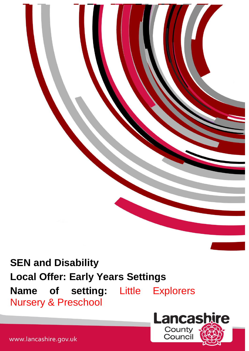**SEN and Disability Local Offer: Early Years Settings Name of setting:** Little Explorers Nursery & Preschool



www.lancashire.gov.uk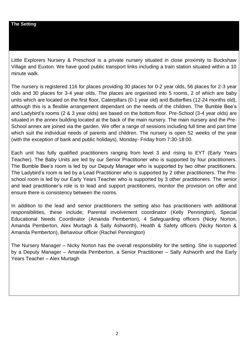Little Explorers Nursery & Preschool is a private nursery situated in close proximity to Buckshaw Village and Euxton. We have good public transport links including a train station situated within a 10 minute walk.

The nursery is registered 116 for places providing 30 places for 0-2 year olds, 56 places for 2-3 year olds and 30 places for 3-4 year olds. The places are organised into 5 rooms, 2 of which are baby units which are located on the first floor, Caterpillars (0-1 year old) and Butterflies (12-24 months old), although this is a flexible arrangement dependant on the needs of the children. The Bumble Bee's and Ladybird's rooms (2 & 3 year olds) are based on the bottom floor. Pre-School (3-4 year olds) are situated in the annex building located at the back of the main nursery. The main nursery and the Pre-School annex are joined via the garden. We offer a range of sessions including full time and part time which suit the individual needs of parents and children. The nursery is open 52 weeks of the year (with the exception of bank and public holidays), Monday- Friday from 7:30-18:00.

Each unit has fully qualified practitioners ranging from level 3 and rising to EYT (Early Years Teacher). The Baby Units are led by our Senior Practitioner who is supported by four practitioners. The Bumble Bee's room is led by our Deputy Manager who is supported by two other practitioners. The Ladybird's room is led by a Lead Practitioner who is supported by 2 other practitioners. The Preschool room is led by our Early Years Teacher who is supported by 3 other practitioners. The senior and lead practitioner's role is to lead and support practitioners, monitor the provision on offer and ensure there is consistency between the rooms.

In addition to the lead and senior practitioners the setting also has practitioners with additional responsibilities, these include; Parental involvement coordinator (Kelly Pennington), Special Educational Needs Coordinator (Amanda Pemberton), 4 Safeguarding officers (Nicky Norton, Amanda Pemberton, Alex Murtagh & Sally Ashworth), Health & Safety officers (Nicky Norton & Amanda Pemberton), Behaviour officer (Rachel Pennington)

The Nursery Manager – Nicky Norton has the overall responsibility for the setting. She is supported by a Deputy Manager – Amanda Pemberton, a Senior Practitioner – Sally Ashworth and the Early Years Teacher – Alex Murtagh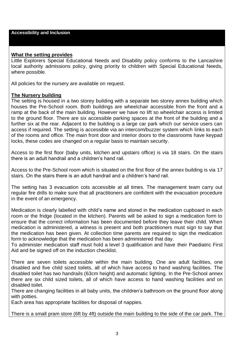### **What the setting provides**

Little Explorers Special Educational Needs and Disability policy conforms to the Lancashire local authority admissions policy, giving priority to children with Special Educational Needs, where possible.

All policies for the nursery are available on request.

#### **The Nursery building**

The setting is housed in a two storey building with a separate two storey annex building which houses the Pre-School room. Both buildings are wheelchair accessible from the front and a ramp at the back of the main building. However we have no lift so wheelchair access is limited to the ground floor. There are six accessible parking spaces at the front of the building and a further six at the rear. Adjacent to the building is a large car park which our service users can access if required. The setting is accessible via an intercom/buzzer system which links to each of the rooms and office. The main front door and interior doors to the classrooms have keypad locks, these codes are changed on a regular basis to maintain security.

Access to the first floor (baby units, kitchen and upstairs office) is via 18 stairs. On the stairs there is an adult handrail and a children's hand rail.

Access to the Pre-School room which is situated on the first floor of the annex building is via 17 stairs. On the stairs there is an adult handrail and a children's hand rail.

The setting has 3 evacuation cots accessible at all times. The management team carry out regular fire drills to make sure that all practitioners are confident with the evacuation procedure in the event of an emergency.

Medication is clearly labelled with child's name and stored in the medication cupboard in each room or the fridge (located in the kitchen). Parents will be asked to sign a medication form to ensure that the correct information has been documented before they leave their child. When medication is administered, a witness is present and both practitioners must sign to say that the medication has been given. At collection time parents are required to sign the medication form to acknowledge that the medication has been administered that day.

To administer medication staff must hold a level 3 qualification and have their Paediatric First Aid and be signed off on the induction checklist.

There are seven toilets accessible within the main building. One are adult facilities, one disabled and five child sized toilets, all of which have access to hand washing facilities. The disabled toilet has two handrails (63cm height) and automatic lighting. In the Pre-School annex there are six child sized toilets, all of which have access to hand washing facilities and on disabled toilet.

There are changing facilities in all baby units, the children's bathroom on the ground floor along with potties.

Each area has appropriate facilities for disposal of nappies.

There is a small pram store (6ft by 4ft) outside the main building to the side of the car park. The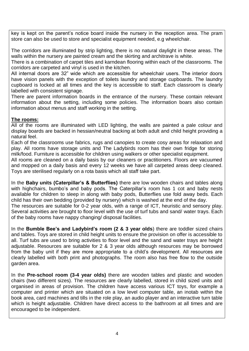key is kept on the parent's notice board inside the nursery in the reception area. The pram store can also be used to store and specialist equipment needed, e.g wheelchair.

The corridors are illuminated by strip lighting, there is no natural daylight in these areas. The walls within the nursery are painted cream and the skirting and architrave is white.

There is a combination of carpet tiles and karndean flooring within each of the classrooms. The corridors are carpeted and vinyl is used in the kitchen.

All internal doors are 32" wide which are accessible for wheelchair users. The interior doors have vision panels with the exception of toilets laundry and storage cupboards. The laundry cupboard is locked at all times and the key is accessible to staff. Each classroom is clearly labelled with consistent signage.

There are parent information boards in the entrance of the nursery. These contain relevant information about the setting, including some policies. The information boars also contain information about menus and staff working in the setting.

## **The rooms:**

All of the rooms are illuminated with LED lighting, the walls are painted a pale colour and display boards are backed in hessian/neutral backing at both adult and child height providing a natural feel.

Each of the classrooms use fabrics, rugs and canopies to create cosy areas for relaxation and play. All rooms have storage units and The Ladybirds room has their own fridge for storing milk/food. Furniture is accessible for children using walkers or other specialist equipment.

All rooms are cleaned on a daily basis by our cleaners or practitioners. Floors are vacuumed and mopped on a daily basis and every 12 weeks we have all carpeted areas deep cleaned. Toys are sterilised regularly on a rota basis which all staff take part.

In the **Baby units (Caterpillar's & Butterflies)** there are low wooden chairs and tables along with highchairs, bumbo's and baby pods. The Caterpillar's room has 1 cot and baby nests available for children to sleep in along with baby pods, Butterflies use fold away beds. Each child has their own bedding (provided by nursery) which is washed at the end of the day. The resources are suitable for 0-2 year olds, with a range of ICT, heuristic and sensory play. Several activities are brought to floor level with the use of turf tubs and sand/ water trays. Each of the baby rooms have nappy changing/ disposal facilities.

In the **Bumble Bee's and Ladybird's room (2 & 3 year olds**) there are toddler sized chairs and tables. Toys are stored in child height units to ensure the provision on offer is accessible to all. Turf tubs are used to bring activities to floor level and the sand and water trays are height adjustable. Resources are suitable for 2 & 3 year olds although resources may be borrowed from the baby unit if they are more appropriate to a child's development. All resources are clearly labelled with both print and photographs. The room also has free flow to the outside garden area.

In the **Pre-school room (3-4 year olds)** there are wooden tables and plastic and wooden chairs (two different sizes). The resources are clearly labelled, stored in child sized units and organised in areas of provision. The children have access various ICT toys, for example a computer and printer which are situated on a low level computer table, an inotab within the book area, card machines and tills in the role play, an audio player and an interactive turn table which is height adjustable. Children have direct access to the bathroom at all times and are encouraged to be independent.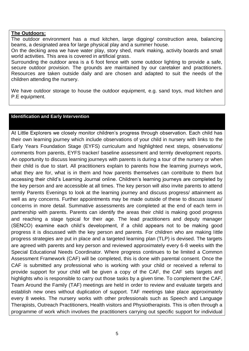#### **The Outdoors:**

The outdoor environment has a mud kitchen, large digging/ construction area, balancing beams, a designated area for large physical play and a summer house.

On the decking area we have water play, story shed, mark making, activity boards and small world activities. This area is covered in artificial grass.

Surrounding the outdoor area is a 6 foot fence with some outdoor lighting to provide a safe, secure outdoor provision. The grounds are maintained by our caretaker and practitioners. Resources are taken outside daily and are chosen and adapted to suit the needs of the children attending the nursery.

We have outdoor storage to house the outdoor equipment, e.g. sand toys, mud kitchen and P.E equipment.

#### **Identification and Early Intervention**

At Little Explorers we closely monitor children's progress through observation. Each child has their own learning journey which include observations of your child in nursery with links to the Early Years Foundation Stage (EYFS) curriculum and highlighted next steps, observations/ comments from parents, EYFS tracker/ baseline assessment and termly development reports. An opportunity to discuss learning journeys with parents is during a tour of the nursery or when their child is due to start. All practitioners explain to parents how the learning journeys work, what they are for, what is in them and how parents themselves can contribute to them but accessing their child's Learning Journal online. Children's learning journeys are completed by the key person and are accessible at all times. The key person will also invite parents to attend termly Parents Evenings to look at the learning journey and discuss progress/ attainment as well as any concerns. Further appointments may be made outside of these to discuss issues/ concerns in more detail. Summative assessments are completed at the end of each term in partnership with parents. Parents can identify the areas their child is making good progress and reaching a stage typical for their age. The lead practitioners and deputy manager (SENCO) examine each child's development, if a child appears not to be making good progress it is discussed with the key person and parents. For children who are making little progress strategies are put in place and a targeted learning plan (TLP) is devised. The targets are agreed with parents and key person and reviewed approximately every 6-8 weeks with the Special Educational Needs Coordinator. Where progress continues to be limited a Common Assessment Framework (CAF) will be completed, this is done with parental consent. Once the CAF is submitted any professional who is working with your child or received a referral to provide support for your child will be given a copy of the CAF, the CAF sets targets and highlights who is responsible to carry out those tasks by a given time. To complement the CAF, Team Around the Family (TAF) meetings are held in order to review and evaluate targets and establish new ones without duplication of support. TAF meetings take place approximately every 8 weeks. The nursery works with other professionals such as Speech and Language Therapists, Outreach Practitioners, Health visitors and Physiotherapists. This is often through a programme of work which involves the practitioners carrying out specific support for individual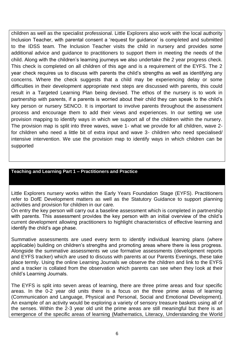children as well as the specialist professional. Little Explorers also work with the local authority Inclusion Teacher, with parental consent a 'request for guidance' is completed and submitted to the IDSS team. The Inclusion Teacher visits the child in nursery and provides some additional advice and guidance to practitioners to support them in meeting the needs of the child. Along with the children's learning journeys we also undertake the 2 year progress check. This check is completed on all children of this age and is a requirement of the EYFS. The 2 year check requires us to discuss with parents the child's strengths as well as identifying any concerns. Where the check suggests that a child may be experiencing delay or some difficulties in their development appropriate next steps are discussed with parents, this could result in a Targeted Learning Plan being devised. The ethos of the nursery is to work in partnership with parents, if a parents is worried about their child they can speak to the child's key person or nursery SENCO. It is important to involve parents throughout the assessment process and encourage them to add their views and experiences. In our setting we use provision mapping to identify ways in which we support all of the children within the nursery. The provision map is split into three waves, wave 1- what we provide for all children, wave 2 for children who need a little bit of extra input and wave 3- children who need specialised/ intensive intervention. We use the provision map to identify ways in which children can be supported

### **Teaching and Learning Part 1 – Practitioners and Practice**

Little Explorers nursery works within the Early Years Foundation Stage (EYFS). Practitioners refer to DofE Development matters as well as the Statutory Guidance to support planning activities and provision for children in our care.

On entry the key person will carry out a baseline assessment which is completed in partnership with parents. This assessment provides the key person with an initial overview of the child's current development allowing practitioners to highlight characteristics of effective learning and identify the child's age phase.

Summative assessments are used every term to identify individual learning plans (where applicable) building on children's strengths and promoting areas where there is less progress. Alongside the summative assessments we use formative assessments (development reports and EYFS tracker) which are used to discuss with parents at our Parents Evenings, these take place termly. Using the online Learning Journals we observe the children and link to the EYFS and a tracker is collated from the observation which parents can see when they look at their child's Learning Journals.

The EYFS is split into seven areas of learning, there are three prime areas and four specific areas. In the 0-2 year old units there is a focus on the three prime areas of learning (Communication and Language, Physical and Personal, Social and Emotional Development). An example of an activity would be exploring a variety of sensory treasure baskets using all of the senses. Within the 2-3 year old unit the prime areas are still meaningful but there is an emergence of the specific areas of learning (Mathematics, Literacy, Understanding the World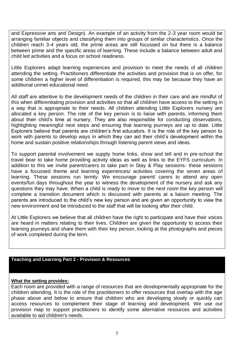and Expressive arts and Design). An example of an activity from the 2-3 year room would be arranging familiar objects and classifying them into groups of similar characteristics. Once the children reach 3-4 years old, the prime areas are still focussed on but there is a balance between prime and the specific areas of learning. These include a balance between adult and child led activities and a focus on school readiness.

Little Explorers adapt learning experiences and provision to meet the needs of all children attending the setting. Practitioners differentiate the activities and provision that is on offer, for some children a higher level of differentiation is required, this may be because they have an additional unmet educational need.

All staff are attentive to the development needs of the children in their care and are mindful of this when differentiating provision and activities so that all children have access to the setting in a way that is appropriate to their needs. All children attending Little Explorers nursery are allocated a key person. The role of the key person is to liaise with parents, informing them about their child's time at nursery. They are also responsible for conducting observations, highlighting meaningful next steps and ensuring that learning journeys are up to date. Little Explorers believe that parents are children's first educators. It is the role of the key person to work with parents to develop ways in which they can aid their child's development within the home and sustain positive relationships through listening parent views and ideas.

To support parental involvement we supply home links, show and tell and in pre-school the travel bear to take home providing activity ideas as well as links to the EYFS curriculum. In addition to this we invite parent/carers to take part in Stay & Play sessions- these sessions have a focussed theme and learning experiences/ activities covering the seven areas of learning. These sessions run termly. We encourage parent/ carers to attend any open events/fun days throughout the year to witness the development of the nursery and ask any questions they may have. When a child is ready to move to the next room the key person will complete a transition document which is discussed with parents at a liaison meeting. The parents are introduced to the child's new key person and are given an opportunity to view the new environment and be introduced to the staff that will be looking after their child.

At Little Explorers we believe that all children have the right to participate and have their voices are heard in matters relating to their lives. Children are given the opportunity to access their learning journeys and share them with their key person, looking at the photographs and pieces of work completed during the term.

#### **Teaching and Learning Part 2 - Provision & Resources**

#### **What the setting provides:**

Each room are provided with a range of resources that are developmentally appropriate for the children attending. It is the role of the practitioners to offer resources that overlap with the age phase above and below to ensure that children who are developing slowly or quickly can access resources to complement their stage of learning and development. We use our provision map to support practitioners to identify some alternative resources and activities available to aid children's needs.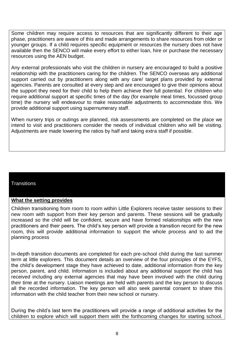Some children may require access to resources that are significantly different to their age phase, practitioners are aware of this and made arrangements to share resources from older or younger groups. If a child requires specific equipment or resources the nursery does not have available then the SENCO will make every effort to either loan, hire or purchase the necessary resources using the AEN budget.

Any external professionals who visit the children in nursery are encouraged to build a positive relationship with the practitioners caring for the children. The SENCO overseas any additional support carried out by practitioners along with any care/ target plans provided by external agencies. Parents are consulted at every step and are encouraged to give their opinions about the support they need for their child to help them achieve their full potential. For children who require additional support at specific times of the day (for example meal times, focussed group time) the nursery will endeavour to make reasonable adjustments to accommodate this. We provide additional support using supernumerary staff.

When nursery trips or outings are planned, risk assessments are completed on the place we intend to visit and practitioners consider the needs of individual children who will be visiting. Adjustments are made lowering the ratios by half and taking extra staff if possible.

### **Transitions**

#### **What the setting provides**

Children transitioning from room to room within Little Explorers receive taster sessions to their new room with support from their key person and parents. These sessions will be gradually increased so the child will be confident, secure and have formed relationships with the new practitioners and their peers. The child's key person will provide a transition record for the new room, this will provide additional information to support the whole process and to aid the planning process

In-depth transition documents are completed for each pre-school child during the last summer term at little explorers. This document details an overview of the four principles of the EYFS, the child's development stage they have achieved to date, additional information from the key person, parent, and child. Information is included about any additional support the child has received including any external agencies that may have been involved with the child during their time at the nursery. Liaison meetings are held with parents and the key person to discuss all the recorded information. The key person will also seek parental consent to share this information with the child teacher from their new school or nursery.

During the child's last term the practitioners will provide a range of additional activities for the children to explore which will support them with the forthcoming changes for starting school.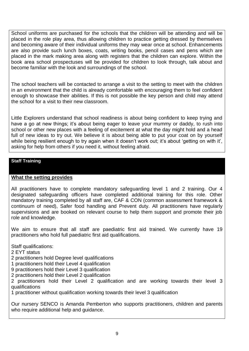School uniforms are purchased for the schools that the children will be attending and will be placed in the role play area, thus allowing children to practice getting dressed by themselves and becoming aware of their individual uniforms they may wear once at school. Enhancements are also provide such lunch boxes, coats, writing books, pencil cases and pens which are placed in the mark making area along with registers that the children can explore. Within the book area school prospectuses will be provided for children to look through, talk about and become familiar with the look and surroundings of the school.

The school teachers will be contacted to arrange a visit to the setting to meet with the children in an environment that the child is already comfortable with encouraging them to feel confident enough to showcase their abilities. If this is not possible the key person and child may attend the school for a visit to their new classroom.

Little Explorers understand that school readiness is about being confident to keep trying and have a go at new things; it's about being eager to leave your mummy or daddy, to rush into school or other new places with a feeling of excitement at what the day might hold and a head full of new ideas to try out. We believe it is about being able to put your coat on by yourself while being resilient enough to try again when it doesn't work out; it's about 'getting on with it', asking for help from others if you need it, without feeling afraid.

# **Staff Training**

### **What the setting provides**

All practitioners have to complete mandatory safeguarding level 1 and 2 training. Our 4 designated safeguarding officers have completed additional training for this role. Other mandatory training completed by all staff are, CAF & CON (common assessment framework & continuum of need), Safer food handling and Prevent duty. All practitioners have regularly supervisions and are booked on relevant course to help them support and promote their job role and knowledge.

We aim to ensure that all staff are paediatric first aid trained. We currently have 19 practitioners who hold full paediatric first aid qualifications.

Staff qualifications:

2 EYT status

- 2 practitioners hold Degree level qualifications
- 1 practitioners hold their Level 4 qualification
- 9 practitioners hold their Level 3 qualification
- 2 practitioners hold their Level 2 qualification

2 practitioners hold their Level 2 qualification and are working towards their level 3 qualifications

1 practitioner without qualification working towards their level 3 qualification

Our nursery SENCO is Amanda Pemberton who supports practitioners, children and parents who require additional help and quidance.